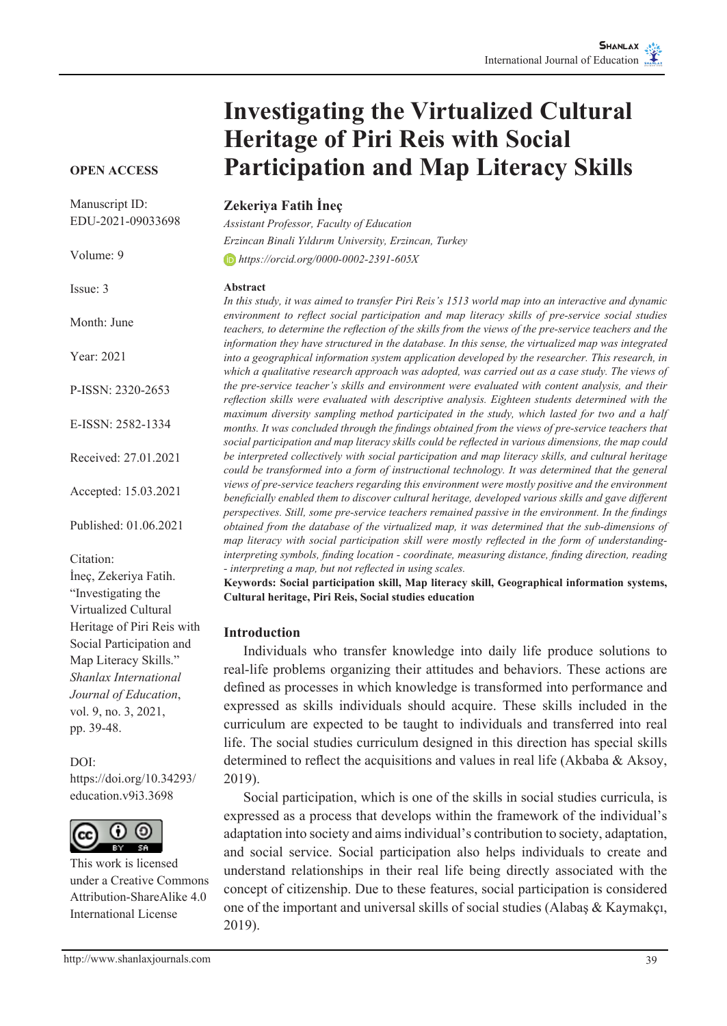# **Investigating the Virtualized Cultural Heritage of Piri Reis with Social Participation and Map Literacy Skills**

## **Zekeriya Fatih İneç**

*Assistant Professor, Faculty of Education Erzincan Binali Yıldırım University, Erzincan, Turkey https://orcid.org/0000-0002-2391-605X*

#### **Abstract**

*In this study, it was aimed to transfer Piri Reis's 1513 world map into an interactive and dynamic environment to reflect social participation and map literacy skills of pre-service social studies teachers, to determine the reflection of the skills from the views of the pre-service teachers and the information they have structured in the database. In this sense, the virtualized map was integrated into a geographical information system application developed by the researcher. This research, in which a qualitative research approach was adopted, was carried out as a case study. The views of the pre-service teacher's skills and environment were evaluated with content analysis, and their reflection skills were evaluated with descriptive analysis. Eighteen students determined with the maximum diversity sampling method participated in the study, which lasted for two and a half months. It was concluded through the findings obtained from the views of pre-service teachers that social participation and map literacy skills could be reflected in various dimensions, the map could be interpreted collectively with social participation and map literacy skills, and cultural heritage could be transformed into a form of instructional technology. It was determined that the general views of pre-service teachers regarding this environment were mostly positive and the environment beneficially enabled them to discover cultural heritage, developed various skills and gave different perspectives. Still, some pre-service teachers remained passive in the environment. In the findings obtained from the database of the virtualized map, it was determined that the sub-dimensions of map literacy with social participation skill were mostly reflected in the form of understandinginterpreting symbols, finding location - coordinate, measuring distance, finding direction, reading - interpreting a map, but not reflected in using scales.*

**Keywords: Social participation skill, Map literacy skill, Geographical information systems, Cultural heritage, Piri Reis, Social studies education**

### **Introduction**

Individuals who transfer knowledge into daily life produce solutions to real-life problems organizing their attitudes and behaviors. These actions are defined as processes in which knowledge is transformed into performance and expressed as skills individuals should acquire. These skills included in the curriculum are expected to be taught to individuals and transferred into real life. The social studies curriculum designed in this direction has special skills determined to reflect the acquisitions and values in real life (Akbaba & Aksoy, 2019).

Social participation, which is one of the skills in social studies curricula, is expressed as a process that develops within the framework of the individual's adaptation into society and aims individual's contribution to society, adaptation, and social service. Social participation also helps individuals to create and understand relationships in their real life being directly associated with the concept of citizenship. Due to these features, social participation is considered one of the important and universal skills of social studies (Alabaş & Kaymakçı, 2019).

#### **OPEN ACCESS**

Manuscript ID: EDU-2021-09033698

Volume: 9 Issue: 3 Month: June Year: 2021 P-ISSN: 2320-2653 E-ISSN: 2582-1334 Received: 27.01.2021 Accepted: 15.03.2021 Published: 01.06.2021 Citation: İneç, Zekeriya Fatih. "Investigating the Virtualized Cultural Heritage of Piri Reis with Social Participation and Map Literacy Skills." *Shanlax International Journal of Education*, vol. 9, no. 3, 2021, pp. 39-48.

## DOI:

https://doi.org/10.34293/ education.v9i3.3698



This work is licensed under a Creative Commons Attribution-ShareAlike 4.0 International License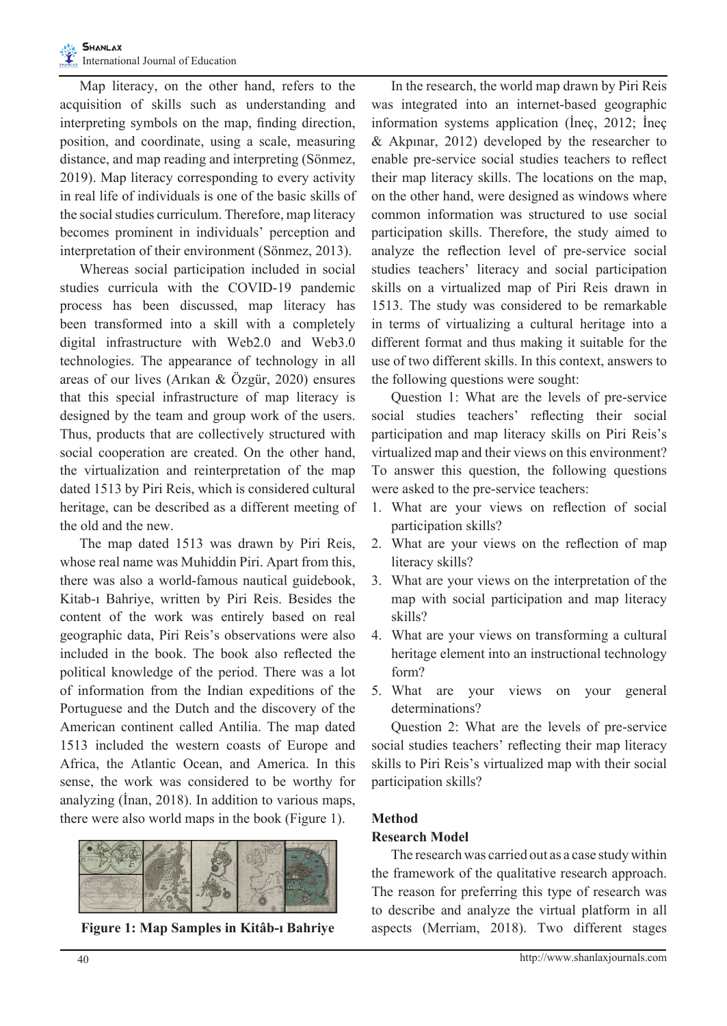Map literacy, on the other hand, refers to the acquisition of skills such as understanding and interpreting symbols on the map, finding direction, position, and coordinate, using a scale, measuring distance, and map reading and interpreting (Sönmez, 2019). Map literacy corresponding to every activity in real life of individuals is one of the basic skills of the social studies curriculum. Therefore, map literacy becomes prominent in individuals' perception and interpretation of their environment (Sönmez, 2013).

Whereas social participation included in social studies curricula with the COVID-19 pandemic process has been discussed, map literacy has been transformed into a skill with a completely digital infrastructure with Web2.0 and Web3.0 technologies. The appearance of technology in all areas of our lives (Arıkan & Özgür, 2020) ensures that this special infrastructure of map literacy is designed by the team and group work of the users. Thus, products that are collectively structured with social cooperation are created. On the other hand, the virtualization and reinterpretation of the map dated 1513 by Piri Reis, which is considered cultural heritage, can be described as a different meeting of the old and the new.

The map dated 1513 was drawn by Piri Reis, whose real name was Muhiddin Piri. Apart from this, there was also a world-famous nautical guidebook, Kitab-ı Bahriye, written by Piri Reis. Besides the content of the work was entirely based on real geographic data, Piri Reis's observations were also included in the book. The book also reflected the political knowledge of the period. There was a lot of information from the Indian expeditions of the Portuguese and the Dutch and the discovery of the American continent called Antilia. The map dated 1513 included the western coasts of Europe and Africa, the Atlantic Ocean, and America. In this sense, the work was considered to be worthy for analyzing (İnan, 2018). In addition to various maps, there were also world maps in the book (Figure 1).



**Figure 1: Map Samples in Kitâb-ı Bahriye**

In the research, the world map drawn by Piri Reis was integrated into an internet-based geographic information systems application (İneç, 2012; İneç & Akpınar, 2012) developed by the researcher to enable pre-service social studies teachers to reflect their map literacy skills. The locations on the map, on the other hand, were designed as windows where common information was structured to use social participation skills. Therefore, the study aimed to analyze the reflection level of pre-service social studies teachers' literacy and social participation skills on a virtualized map of Piri Reis drawn in 1513. The study was considered to be remarkable in terms of virtualizing a cultural heritage into a different format and thus making it suitable for the use of two different skills. In this context, answers to the following questions were sought:

Question 1: What are the levels of pre-service social studies teachers' reflecting their social participation and map literacy skills on Piri Reis's virtualized map and their views on this environment? To answer this question, the following questions were asked to the pre-service teachers:

- 1. What are your views on reflection of social participation skills?
- 2. What are your views on the reflection of map literacy skills?
- 3. What are your views on the interpretation of the map with social participation and map literacy skills?
- 4. What are your views on transforming a cultural heritage element into an instructional technology form?
- 5. What are your views on your general determinations?

Question 2: What are the levels of pre-service social studies teachers' reflecting their map literacy skills to Piri Reis's virtualized map with their social participation skills?

## **Method**

### **Research Model**

The research was carried out as a case study within the framework of the qualitative research approach. The reason for preferring this type of research was to describe and analyze the virtual platform in all aspects (Merriam, 2018). Two different stages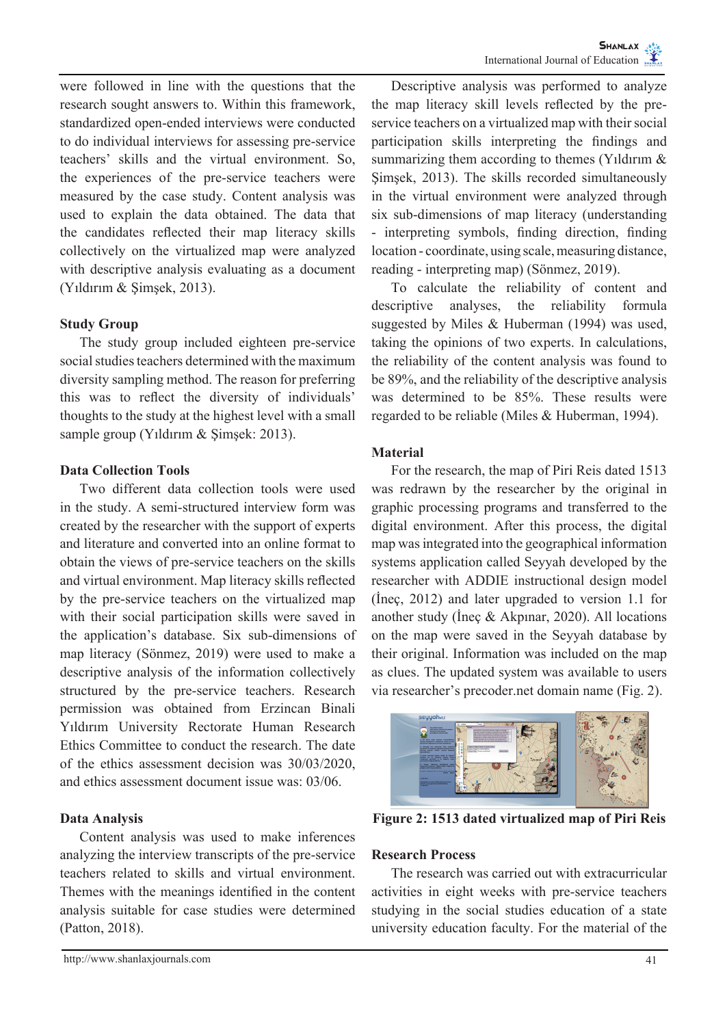were followed in line with the questions that the research sought answers to. Within this framework, standardized open-ended interviews were conducted to do individual interviews for assessing pre-service teachers' skills and the virtual environment. So, the experiences of the pre-service teachers were measured by the case study. Content analysis was used to explain the data obtained. The data that the candidates reflected their map literacy skills collectively on the virtualized map were analyzed with descriptive analysis evaluating as a document (Yıldırım & Şimşek, 2013).

## **Study Group**

The study group included eighteen pre-service social studies teachers determined with the maximum diversity sampling method. The reason for preferring this was to reflect the diversity of individuals' thoughts to the study at the highest level with a small sample group (Yıldırım & Şimşek: 2013).

### **Data Collection Tools**

Two different data collection tools were used in the study. A semi-structured interview form was created by the researcher with the support of experts and literature and converted into an online format to obtain the views of pre-service teachers on the skills and virtual environment. Map literacy skills reflected by the pre-service teachers on the virtualized map with their social participation skills were saved in the application's database. Six sub-dimensions of map literacy (Sönmez, 2019) were used to make a descriptive analysis of the information collectively structured by the pre-service teachers. Research permission was obtained from Erzincan Binali Yıldırım University Rectorate Human Research Ethics Committee to conduct the research. The date of the ethics assessment decision was 30/03/2020, and ethics assessment document issue was: 03/06.

### **Data Analysis**

Content analysis was used to make inferences analyzing the interview transcripts of the pre-service teachers related to skills and virtual environment. Themes with the meanings identified in the content analysis suitable for case studies were determined (Patton, 2018).

Descriptive analysis was performed to analyze the map literacy skill levels reflected by the preservice teachers on a virtualized map with their social participation skills interpreting the findings and summarizing them according to themes (Yıldırım & Şimşek, 2013). The skills recorded simultaneously in the virtual environment were analyzed through six sub-dimensions of map literacy (understanding - interpreting symbols, finding direction, finding location - coordinate, using scale, measuring distance, reading - interpreting map) (Sönmez, 2019).

To calculate the reliability of content and descriptive analyses, the reliability formula suggested by Miles & Huberman (1994) was used, taking the opinions of two experts. In calculations, the reliability of the content analysis was found to be 89%, and the reliability of the descriptive analysis was determined to be 85%. These results were regarded to be reliable (Miles & Huberman, 1994).

## **Material**

For the research, the map of Piri Reis dated 1513 was redrawn by the researcher by the original in graphic processing programs and transferred to the digital environment. After this process, the digital map was integrated into the geographical information systems application called Seyyah developed by the researcher with ADDIE instructional design model (İneç, 2012) and later upgraded to version 1.1 for another study (İneç & Akpınar, 2020). All locations on the map were saved in the Seyyah database by their original. Information was included on the map as clues. The updated system was available to users via researcher's precoder.net domain name (Fig. 2).



**Figure 2: 1513 dated virtualized map of Piri Reis**

### **Research Process**

The research was carried out with extracurricular activities in eight weeks with pre-service teachers studying in the social studies education of a state university education faculty. For the material of the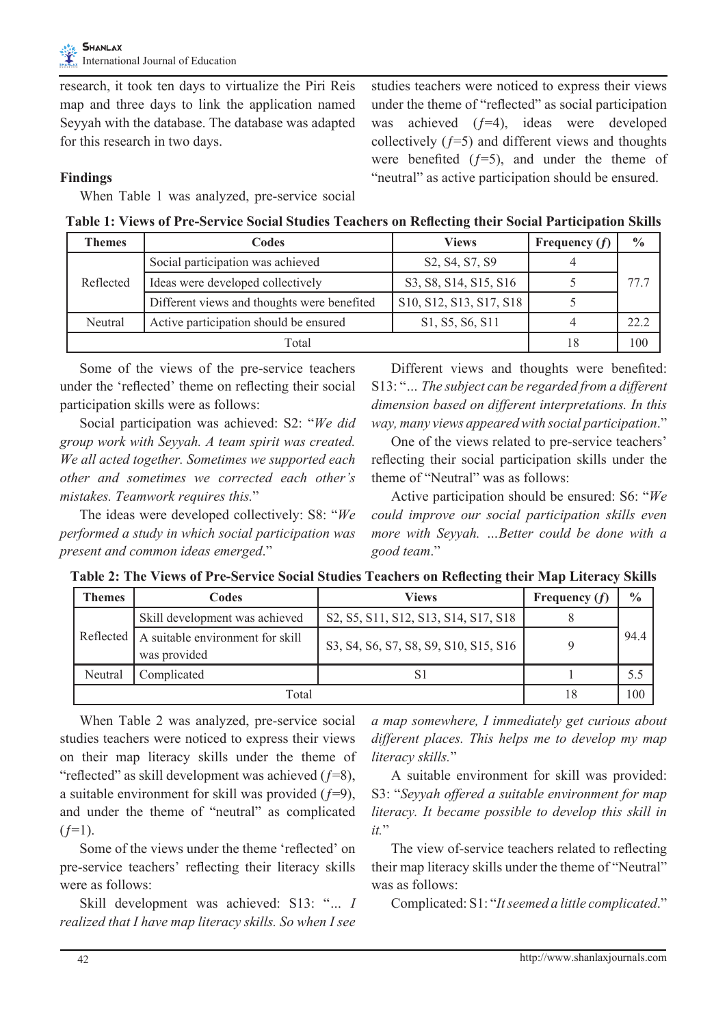research, it took ten days to virtualize the Piri Reis map and three days to link the application named Seyyah with the database. The database was adapted for this research in two days.

studies teachers were noticed to express their views under the theme of "reflected" as social participation was achieved  $(f=4)$ , ideas were developed collectively  $(f=5)$  and different views and thoughts were benefited  $(f=5)$ , and under the theme of "neutral" as active participation should be ensured.

## **Findings**

When Table 1 was analyzed, pre-service social

**Table 1: Views of Pre-Service Social Studies Teachers on Reflecting their Social Participation Skills**

| <b>Themes</b> | Codes                                       | <b>Views</b>                                                                            | Frequency $(f)$ | $\frac{0}{0}$ |
|---------------|---------------------------------------------|-----------------------------------------------------------------------------------------|-----------------|---------------|
|               | Social participation was achieved           | S <sub>2</sub> , S <sub>4</sub> , S <sub>7</sub> , S <sub>9</sub>                       |                 |               |
| Reflected     | Ideas were developed collectively           | S3, S8, S14, S15, S16                                                                   |                 | 77.7          |
|               | Different views and thoughts were benefited | S <sub>10</sub> , S <sub>12</sub> , S <sub>13</sub> , S <sub>17</sub> , S <sub>18</sub> |                 |               |
| Neutral       | Active participation should be ensured      | S <sub>1</sub> , S <sub>5</sub> , S <sub>6</sub> , S <sub>11</sub>                      |                 | 22.2          |
| Total         |                                             |                                                                                         | 18              | 100           |

Some of the views of the pre-service teachers under the 'reflected' theme on reflecting their social participation skills were as follows:

Social participation was achieved: S2: "*We did group work with Seyyah. A team spirit was created. We all acted together. Sometimes we supported each other and sometimes we corrected each other's mistakes. Teamwork requires this.*"

The ideas were developed collectively: S8: "*We performed a study in which social participation was present and common ideas emerged*."

Different views and thoughts were benefited: S13: "*… The subject can be regarded from a different dimension based on different interpretations. In this way, many views appeared with social participation*."

One of the views related to pre-service teachers' reflecting their social participation skills under the theme of "Neutral" was as follows:

Active participation should be ensured: S6: "*We could improve our social participation skills even more with Seyyah. …Better could be done with a good team*."

| <b>Themes</b> | Codes                                                        | <b>Views</b>                                                                                                                                | Frequency $(f)$ | $\frac{0}{0}$ |
|---------------|--------------------------------------------------------------|---------------------------------------------------------------------------------------------------------------------------------------------|-----------------|---------------|
|               | Skill development was achieved                               | S <sub>2</sub> , S <sub>5</sub> , S <sub>11</sub> , S <sub>12</sub> , S <sub>13</sub> , S <sub>14</sub> , S <sub>17</sub> , S <sub>18</sub> |                 |               |
|               | Reflected   A suitable environment for skill<br>was provided | S3, S4, S6, S7, S8, S9, S10, S15, S16                                                                                                       |                 | 94.4          |
| Neutral       | Complicated                                                  | S.                                                                                                                                          |                 |               |
| Total         |                                                              |                                                                                                                                             | 18              | 100           |

When Table 2 was analyzed, pre-service social studies teachers were noticed to express their views on their map literacy skills under the theme of "reflected" as skill development was achieved  $(f=8)$ , a suitable environment for skill was provided  $(f=9)$ , and under the theme of "neutral" as complicated  $(f=1)$ .

Some of the views under the theme 'reflected' on pre-service teachers' reflecting their literacy skills were as follows:

Skill development was achieved: S13: "*… I realized that I have map literacy skills. So when I see*  *a map somewhere, I immediately get curious about different places. This helps me to develop my map literacy skills.*"

A suitable environment for skill was provided: S3: "*Seyyah offered a suitable environment for map literacy. It became possible to develop this skill in it.*"

The view of-service teachers related to reflecting their map literacy skills under the theme of "Neutral" was as follows:

Complicated: S1: "*It seemed a little complicated*."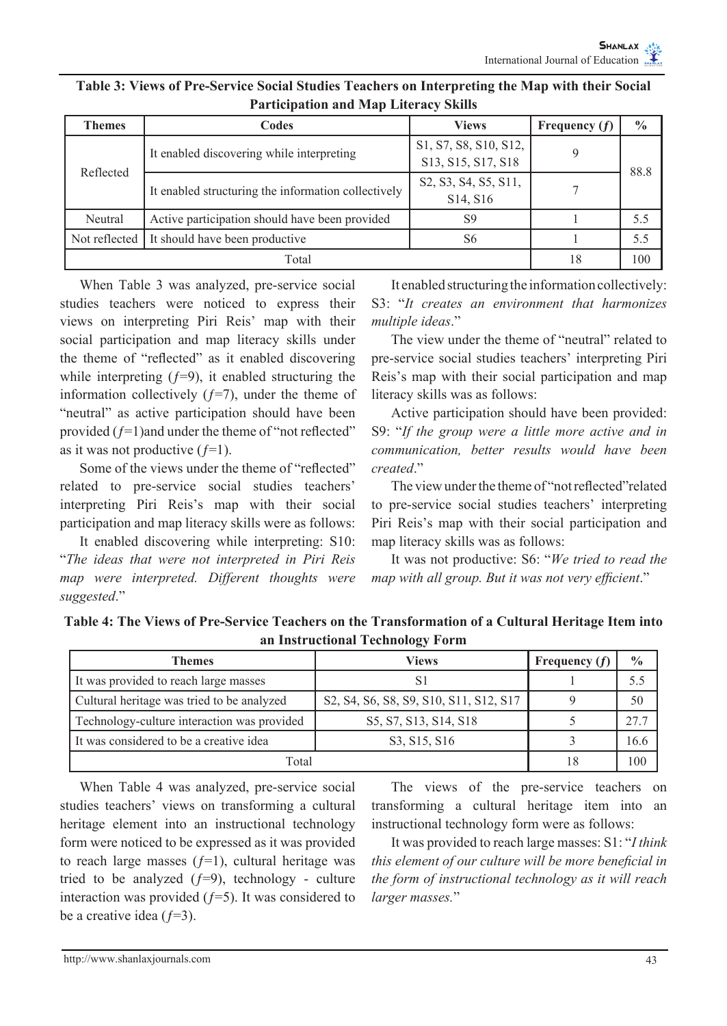| <b>Themes</b>                                           | Codes                                               | <b>Views</b>                                                                                                 | Frequency $(f)$ | $\frac{0}{0}$ |  |
|---------------------------------------------------------|-----------------------------------------------------|--------------------------------------------------------------------------------------------------------------|-----------------|---------------|--|
| Reflected                                               | It enabled discovering while interpreting           | S <sub>1</sub> , S <sub>7</sub> , S <sub>8</sub> , S <sub>10</sub> , S <sub>12</sub> ,<br>S13, S15, S17, S18 |                 | 88.8          |  |
|                                                         | It enabled structuring the information collectively | S2, S3, S4, S5, S11,<br>S <sub>14</sub> , S <sub>16</sub>                                                    |                 |               |  |
| Neutral                                                 | Active participation should have been provided      | S9                                                                                                           |                 | 5.5           |  |
| It should have been productive<br>Not reflected  <br>S6 |                                                     |                                                                                                              | 5.5             |               |  |
| Total                                                   |                                                     |                                                                                                              | 18              | 100           |  |

## **Table 3: Views of Pre-Service Social Studies Teachers on Interpreting the Map with their Social Participation and Map Literacy Skills**

When Table 3 was analyzed, pre-service social studies teachers were noticed to express their views on interpreting Piri Reis' map with their social participation and map literacy skills under the theme of "reflected" as it enabled discovering while interpreting  $(f=9)$ , it enabled structuring the information collectively  $(f=7)$ , under the theme of "neutral" as active participation should have been provided  $(f=1)$ and under the theme of "not reflected" as it was not productive  $(f=1)$ .

Some of the views under the theme of "reflected" related to pre-service social studies teachers' interpreting Piri Reis's map with their social participation and map literacy skills were as follows:

It enabled discovering while interpreting: S10: "*The ideas that were not interpreted in Piri Reis map were interpreted. Different thoughts were suggested*."

It enabled structuring the information collectively: S3: "*It creates an environment that harmonizes multiple ideas*."

The view under the theme of "neutral" related to pre-service social studies teachers' interpreting Piri Reis's map with their social participation and map literacy skills was as follows:

Active participation should have been provided: S9: "*If the group were a little more active and in communication, better results would have been created*."

The view under the theme of "not reflected"related to pre-service social studies teachers' interpreting Piri Reis's map with their social participation and map literacy skills was as follows:

It was not productive: S6: "*We tried to read the map with all group. But it was not very efficient*."

| Table 4: The Views of Pre-Service Teachers on the Transformation of a Cultural Heritage Item into |
|---------------------------------------------------------------------------------------------------|
| an Instructional Technology Form                                                                  |

| Themes                                      | Views                                                                                                                                                      | Frequency $(f)$ | $\frac{0}{0}$ |
|---------------------------------------------|------------------------------------------------------------------------------------------------------------------------------------------------------------|-----------------|---------------|
| It was provided to reach large masses       | S1                                                                                                                                                         |                 | 5.5           |
| Cultural heritage was tried to be analyzed  | S <sub>2</sub> , S <sub>4</sub> , S <sub>6</sub> , S <sub>8</sub> , S <sub>9</sub> , S <sub>10</sub> , S <sub>11</sub> , S <sub>12</sub> , S <sub>17</sub> |                 | 50            |
| Technology-culture interaction was provided | S5, S7, S13, S14, S18                                                                                                                                      |                 | 27.7          |
| It was considered to be a creative idea     | S3, S15, S16                                                                                                                                               |                 | 16.6          |
| Total                                       | 18                                                                                                                                                         | 100             |               |

When Table 4 was analyzed, pre-service social studies teachers' views on transforming a cultural heritage element into an instructional technology form were noticed to be expressed as it was provided to reach large masses  $(f=1)$ , cultural heritage was tried to be analyzed  $(f=9)$ , technology - culture interaction was provided  $(f=5)$ . It was considered to be a creative idea  $(f=3)$ .

The views of the pre-service teachers on transforming a cultural heritage item into an instructional technology form were as follows:

It was provided to reach large masses: S1: "*I think this element of our culture will be more beneficial in the form of instructional technology as it will reach larger masses.*"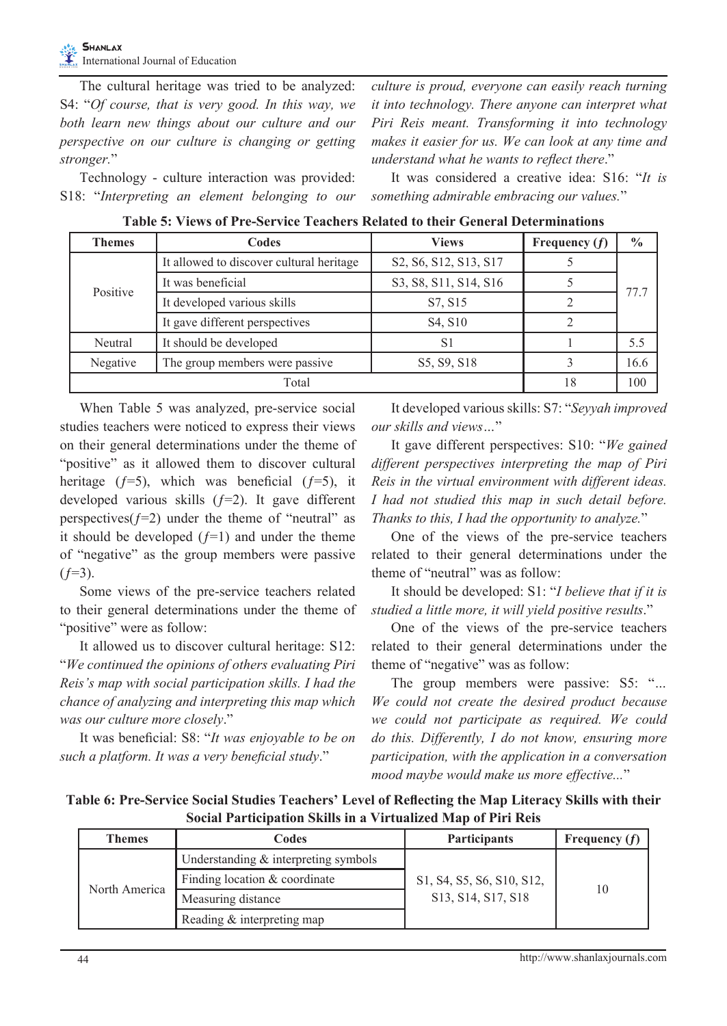The cultural heritage was tried to be analyzed: S4: "*Of course, that is very good. In this way, we both learn new things about our culture and our perspective on our culture is changing or getting stronger.*"

Technology - culture interaction was provided: S18: "*Interpreting an element belonging to our*  *culture is proud, everyone can easily reach turning it into technology. There anyone can interpret what Piri Reis meant. Transforming it into technology makes it easier for us. We can look at any time and understand what he wants to reflect there*."

It was considered a creative idea: S16: "*It is something admirable embracing our values.*"

| <b>Themes</b> | Codes                                    | <b>Views</b>                     | Frequency $(f)$ | $\frac{0}{0}$ |  |
|---------------|------------------------------------------|----------------------------------|-----------------|---------------|--|
|               | It allowed to discover cultural heritage | S2, S6, S12, S13, S17            |                 |               |  |
| Positive      | It was beneficial                        | S3, S8, S11, S14, S16            |                 | 77.7          |  |
|               | It developed various skills              | S7, S15                          |                 |               |  |
|               | It gave different perspectives           | S <sub>4</sub> , S <sub>10</sub> |                 |               |  |
| Neutral       | It should be developed                   | S <sub>1</sub>                   |                 | 5.5           |  |
| Negative      | The group members were passive           | S5, S9, S18                      |                 | 16.6          |  |
| Total         |                                          |                                  | 18              | 100           |  |

**Table 5: Views of Pre-Service Teachers Related to their General Determinations**

When Table 5 was analyzed, pre-service social studies teachers were noticed to express their views on their general determinations under the theme of "positive" as it allowed them to discover cultural heritage  $(f=5)$ , which was beneficial  $(f=5)$ , it developed various skills  $(f=2)$ . It gave different perspectives( $f=2$ ) under the theme of "neutral" as it should be developed  $(f=1)$  and under the theme of "negative" as the group members were passive  $(f=3)$ .

Some views of the pre-service teachers related to their general determinations under the theme of "positive" were as follow:

It allowed us to discover cultural heritage: S12: "*We continued the opinions of others evaluating Piri Reis's map with social participation skills. I had the chance of analyzing and interpreting this map which was our culture more closely*."

It was beneficial: S8: "*It was enjoyable to be on such a platform. It was a very beneficial study*."

It developed various skills: S7: "*Seyyah improved our skills and views…*"

It gave different perspectives: S10: "*We gained different perspectives interpreting the map of Piri Reis in the virtual environment with different ideas. I had not studied this map in such detail before. Thanks to this, I had the opportunity to analyze.*"

One of the views of the pre-service teachers related to their general determinations under the theme of "neutral" was as follow:

It should be developed: S1: "*I believe that if it is studied a little more, it will yield positive results*."

One of the views of the pre-service teachers related to their general determinations under the theme of "negative" was as follow:

The group members were passive: S5: "*… We could not create the desired product because we could not participate as required. We could do this. Differently, I do not know, ensuring more participation, with the application in a conversation mood maybe would make us more effective...*"

**Table 6: Pre-Service Social Studies Teachers' Level of Reflecting the Map Literacy Skills with their Social Participation Skills in a Virtualized Map of Piri Reis**

| Themes        | Codes                                   | <b>Participants</b>                                                                                | Frequency $(f)$ |
|---------------|-----------------------------------------|----------------------------------------------------------------------------------------------------|-----------------|
|               | Understanding $\&$ interpreting symbols | S1, S4, S5, S6, S10, S12,<br>S <sub>13</sub> , S <sub>14</sub> , S <sub>17</sub> , S <sub>18</sub> | 10              |
| North America | Finding location & coordinate           |                                                                                                    |                 |
|               | Measuring distance                      |                                                                                                    |                 |
|               | Reading & interpreting map              |                                                                                                    |                 |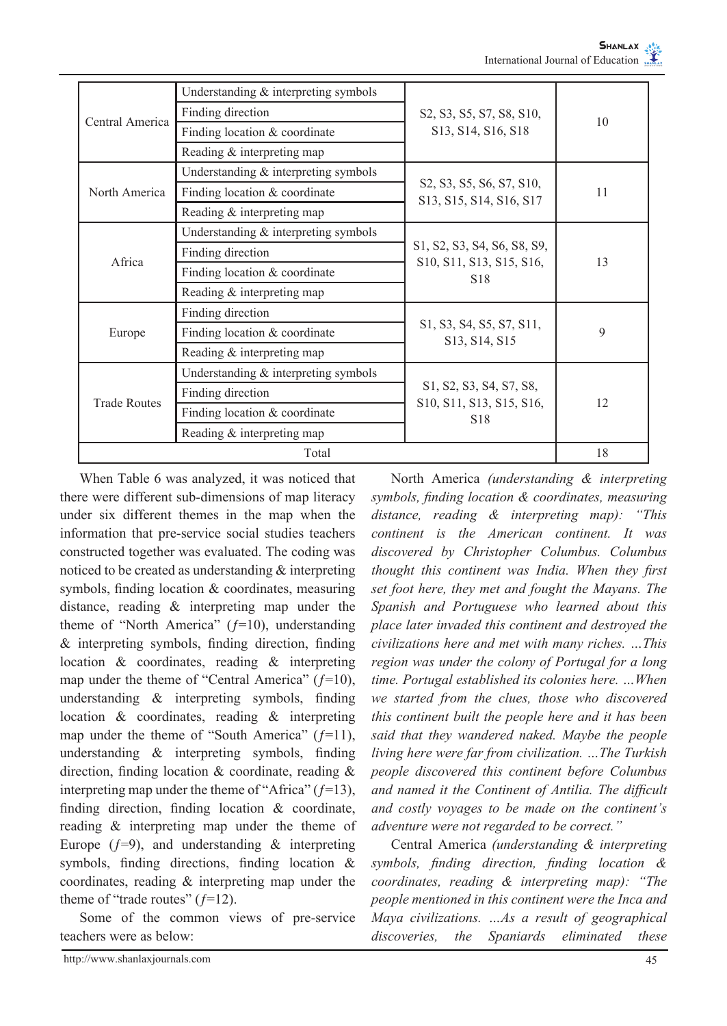| Central America     | Understanding $&$ interpreting symbols |                                                                                                                                   | 10 |
|---------------------|----------------------------------------|-----------------------------------------------------------------------------------------------------------------------------------|----|
|                     | Finding direction                      | S2, S3, S5, S7, S8, S10,                                                                                                          |    |
|                     | Finding location & coordinate          | S13, S14, S16, S18                                                                                                                |    |
|                     | Reading & interpreting map             |                                                                                                                                   |    |
|                     | Understanding & interpreting symbols   |                                                                                                                                   |    |
| North America       | Finding location & coordinate          | S <sub>2</sub> , S <sub>3</sub> , S <sub>5</sub> , S <sub>6</sub> , S <sub>7</sub> , S <sub>10</sub> ,<br>S13, S15, S14, S16, S17 | 11 |
|                     | Reading & interpreting map             |                                                                                                                                   |    |
|                     | Understanding & interpreting symbols   |                                                                                                                                   |    |
| Africa              | Finding direction                      | S <sub>1</sub> , S <sub>2</sub> , S <sub>3</sub> , S <sub>4</sub> , S <sub>6</sub> , S <sub>8</sub> , S <sub>9</sub> ,            | 13 |
|                     | Finding location & coordinate          | S <sub>10</sub> , S <sub>11</sub> , S <sub>13</sub> , S <sub>15</sub> , S <sub>16</sub> ,<br>S <sub>18</sub>                      |    |
|                     | Reading & interpreting map             |                                                                                                                                   |    |
|                     | Finding direction                      |                                                                                                                                   | 9  |
| Europe              | Finding location & coordinate          | S <sub>1</sub> , S <sub>3</sub> , S <sub>4</sub> , S <sub>5</sub> , S <sub>7</sub> , S <sub>11</sub> ,<br>S13, S14, S15           |    |
|                     | Reading & interpreting map             |                                                                                                                                   |    |
| <b>Trade Routes</b> | Understanding & interpreting symbols   |                                                                                                                                   |    |
|                     | Finding direction                      | S <sub>1</sub> , S <sub>2</sub> , S <sub>3</sub> , S <sub>4</sub> , S <sub>7</sub> , S <sub>8</sub> ,                             | 12 |
|                     | Finding location & coordinate          | S <sub>10</sub> , S <sub>11</sub> , S <sub>13</sub> , S <sub>15</sub> , S <sub>16</sub> ,<br>S <sub>18</sub>                      |    |
|                     | Reading & interpreting map             |                                                                                                                                   |    |
| Total               |                                        |                                                                                                                                   | 18 |

When Table 6 was analyzed, it was noticed that there were different sub-dimensions of map literacy under six different themes in the map when the information that pre-service social studies teachers constructed together was evaluated. The coding was noticed to be created as understanding & interpreting symbols, finding location & coordinates, measuring distance, reading & interpreting map under the theme of "North America"  $(f=10)$ , understanding & interpreting symbols, finding direction, finding location & coordinates, reading & interpreting map under the theme of "Central America"  $(f=10)$ , understanding & interpreting symbols, finding location & coordinates, reading & interpreting map under the theme of "South America"  $(f=11)$ , understanding & interpreting symbols, finding direction, finding location & coordinate, reading & interpreting map under the theme of "Africa"  $(f=13)$ , finding direction, finding location & coordinate, reading & interpreting map under the theme of Europe  $(f=9)$ , and understanding & interpreting symbols, finding directions, finding location & coordinates, reading & interpreting map under the theme of "trade routes"  $(f=12)$ .

Some of the common views of pre-service teachers were as below:

North America *(understanding & interpreting symbols, finding location & coordinates, measuring distance, reading & interpreting map): "This continent is the American continent. It was discovered by Christopher Columbus. Columbus thought this continent was India. When they first set foot here, they met and fought the Mayans. The Spanish and Portuguese who learned about this place later invaded this continent and destroyed the civilizations here and met with many riches. …This region was under the colony of Portugal for a long time. Portugal established its colonies here. …When we started from the clues, those who discovered this continent built the people here and it has been said that they wandered naked. Maybe the people living here were far from civilization. …The Turkish people discovered this continent before Columbus and named it the Continent of Antilia. The difficult and costly voyages to be made on the continent's adventure were not regarded to be correct."*

Central America *(understanding & interpreting symbols, finding direction, finding location & coordinates, reading & interpreting map): "The people mentioned in this continent were the Inca and Maya civilizations. …As a result of geographical discoveries, the Spaniards eliminated these*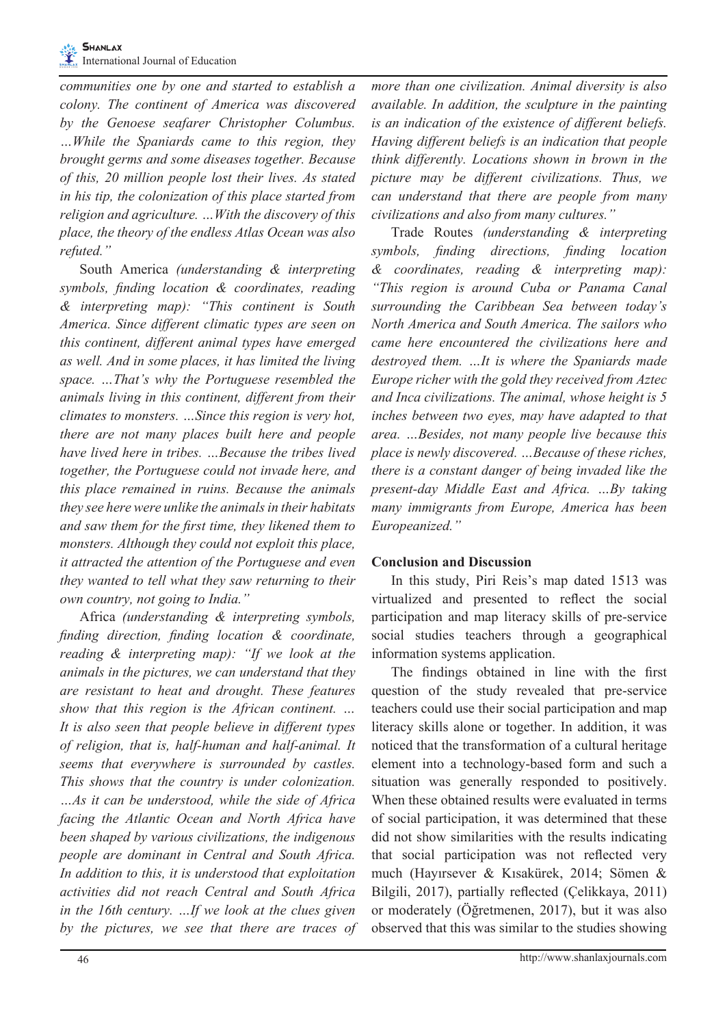*communities one by one and started to establish a colony. The continent of America was discovered by the Genoese seafarer Christopher Columbus. …While the Spaniards came to this region, they brought germs and some diseases together. Because of this, 20 million people lost their lives. As stated in his tip, the colonization of this place started from religion and agriculture. …With the discovery of this place, the theory of the endless Atlas Ocean was also refuted."* 

South America *(understanding & interpreting symbols, finding location & coordinates, reading & interpreting map): "This continent is South America. Since different climatic types are seen on this continent, different animal types have emerged as well. And in some places, it has limited the living space. …That's why the Portuguese resembled the animals living in this continent, different from their climates to monsters. …Since this region is very hot, there are not many places built here and people have lived here in tribes. …Because the tribes lived together, the Portuguese could not invade here, and this place remained in ruins. Because the animals they see here were unlike the animals in their habitats and saw them for the first time, they likened them to monsters. Although they could not exploit this place, it attracted the attention of the Portuguese and even they wanted to tell what they saw returning to their own country, not going to India."*

Africa *(understanding & interpreting symbols, finding direction, finding location & coordinate, reading & interpreting map): "If we look at the animals in the pictures, we can understand that they are resistant to heat and drought. These features show that this region is the African continent. … It is also seen that people believe in different types of religion, that is, half-human and half-animal. It seems that everywhere is surrounded by castles. This shows that the country is under colonization. …As it can be understood, while the side of Africa facing the Atlantic Ocean and North Africa have been shaped by various civilizations, the indigenous people are dominant in Central and South Africa. In addition to this, it is understood that exploitation activities did not reach Central and South Africa in the 16th century. …If we look at the clues given by the pictures, we see that there are traces of*  *more than one civilization. Animal diversity is also available. In addition, the sculpture in the painting is an indication of the existence of different beliefs. Having different beliefs is an indication that people think differently. Locations shown in brown in the picture may be different civilizations. Thus, we can understand that there are people from many civilizations and also from many cultures."* 

Trade Routes *(understanding & interpreting symbols, finding directions, finding location & coordinates, reading & interpreting map): "This region is around Cuba or Panama Canal surrounding the Caribbean Sea between today's North America and South America. The sailors who came here encountered the civilizations here and destroyed them. …It is where the Spaniards made Europe richer with the gold they received from Aztec and Inca civilizations. The animal, whose height is 5 inches between two eyes, may have adapted to that area. …Besides, not many people live because this place is newly discovered. …Because of these riches, there is a constant danger of being invaded like the present-day Middle East and Africa. …By taking many immigrants from Europe, America has been Europeanized."*

## **Conclusion and Discussion**

In this study, Piri Reis's map dated 1513 was virtualized and presented to reflect the social participation and map literacy skills of pre-service social studies teachers through a geographical information systems application.

The findings obtained in line with the first question of the study revealed that pre-service teachers could use their social participation and map literacy skills alone or together. In addition, it was noticed that the transformation of a cultural heritage element into a technology-based form and such a situation was generally responded to positively. When these obtained results were evaluated in terms of social participation, it was determined that these did not show similarities with the results indicating that social participation was not reflected very much (Hayırsever & Kısakürek, 2014; Sömen & Bilgili, 2017), partially reflected (Çelikkaya, 2011) or moderately (Öğretmenen, 2017), but it was also observed that this was similar to the studies showing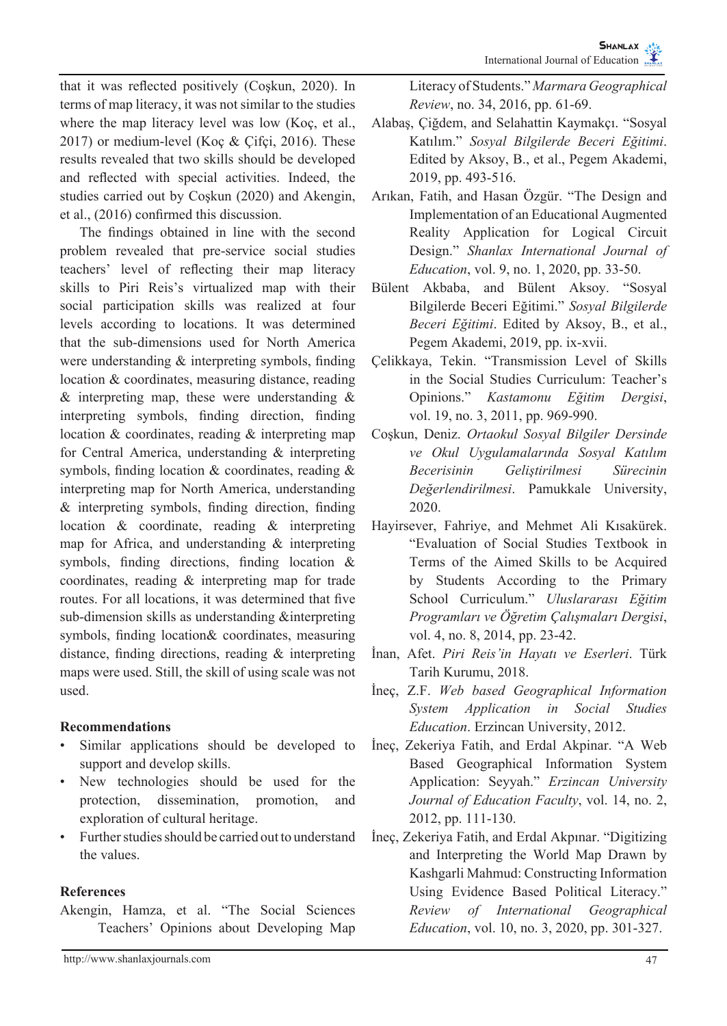that it was reflected positively (Coşkun, 2020). In terms of map literacy, it was not similar to the studies where the map literacy level was low (Koç, et al., 2017) or medium-level (Koç & Çifçi, 2016). These results revealed that two skills should be developed and reflected with special activities. Indeed, the studies carried out by Coşkun (2020) and Akengin, et al., (2016) confirmed this discussion.

The findings obtained in line with the second problem revealed that pre-service social studies teachers' level of reflecting their map literacy skills to Piri Reis's virtualized map with their social participation skills was realized at four levels according to locations. It was determined that the sub-dimensions used for North America were understanding & interpreting symbols, finding location & coordinates, measuring distance, reading  $&$  interpreting map, these were understanding  $&$ interpreting symbols, finding direction, finding location & coordinates, reading & interpreting map for Central America, understanding & interpreting symbols, finding location & coordinates, reading & interpreting map for North America, understanding & interpreting symbols, finding direction, finding location & coordinate, reading & interpreting map for Africa, and understanding & interpreting symbols, finding directions, finding location & coordinates, reading & interpreting map for trade routes. For all locations, it was determined that five sub-dimension skills as understanding &interpreting symbols, finding location& coordinates, measuring distance, finding directions, reading & interpreting maps were used. Still, the skill of using scale was not used.

## **Recommendations**

- Similar applications should be developed to support and develop skills.
- New technologies should be used for the protection, dissemination, promotion, and exploration of cultural heritage.
- Further studies should be carried out to understand the values.

## **References**

Akengin, Hamza, et al. "The Social Sciences Teachers' Opinions about Developing Map Literacy of Students." *Marmara Geographical Review*, no. 34, 2016, pp. 61-69.

- Alabaş, Çiğdem, and Selahattin Kaymakçı. "Sosyal Katılım." *Sosyal Bilgilerde Beceri Eğitimi*. Edited by Aksoy, B., et al., Pegem Akademi, 2019, pp. 493-516.
- Arıkan, Fatih, and Hasan Özgür. "The Design and Implementation of an Educational Augmented Reality Application for Logical Circuit Design." *Shanlax International Journal of Education*, vol. 9, no. 1, 2020, pp. 33-50.
- Bülent Akbaba, and Bülent Aksoy. "Sosyal Bilgilerde Beceri Eğitimi." *Sosyal Bilgilerde Beceri Eğitimi*. Edited by Aksoy, B., et al., Pegem Akademi, 2019, pp. ix-xvii.
- Çelikkaya, Tekin. "Transmission Level of Skills in the Social Studies Curriculum: Teacher's Opinions." *Kastamonu Eğitim Dergisi*, vol. 19, no. 3, 2011, pp. 969-990.
- Coşkun, Deniz. *Ortaokul Sosyal Bilgiler Dersinde ve Okul Uygulamalarında Sosyal Katılım Becerisinin Geliştirilmesi Sürecinin Değerlendirilmesi*. Pamukkale University, 2020.
- Hayirsever, Fahriye, and Mehmet Ali Kısakürek. "Evaluation of Social Studies Textbook in Terms of the Aimed Skills to be Acquired by Students According to the Primary School Curriculum." *Uluslararası Eğitim Programları ve Öğretim Çalışmaları Dergisi*, vol. 4, no. 8, 2014, pp. 23-42.
- İnan, Afet. *Piri Reis'in Hayatı ve Eserleri*. Türk Tarih Kurumu, 2018.
- İneç, Z.F. *Web based Geographical Information System Application in Social Studies Education*. Erzincan University, 2012.
- İneç, Zekeriya Fatih, and Erdal Akpinar. "A Web Based Geographical Information System Application: Seyyah." *Erzincan University Journal of Education Faculty*, vol. 14, no. 2, 2012, pp. 111-130.
- İneç, Zekeriya Fatih, and Erdal Akpınar. "Digitizing and Interpreting the World Map Drawn by Kashgarli Mahmud: Constructing Information Using Evidence Based Political Literacy." *Review of International Geographical Education*, vol. 10, no. 3, 2020, pp. 301-327.